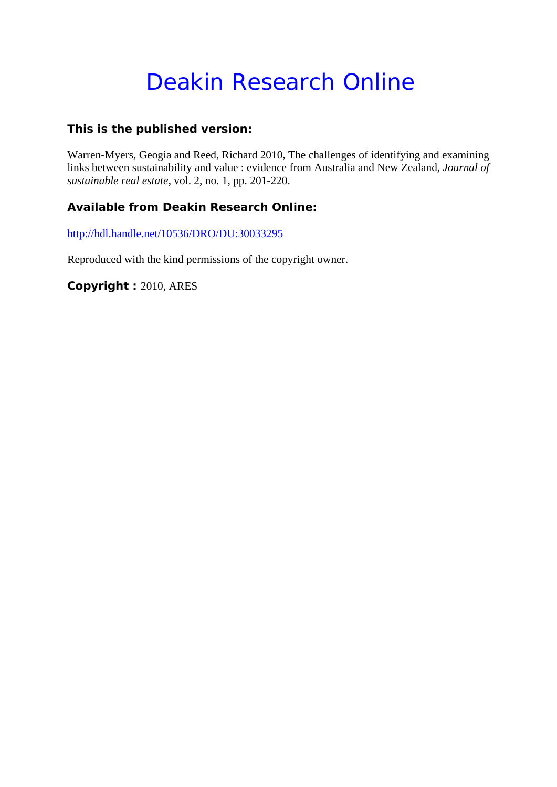# Deakin Research Online

### **This is the published version:**

Warren-Myers, Geogia and Reed, Richard 2010, The challenges of identifying and examining links between sustainability and value : evidence from Australia and New Zealand*, Journal of sustainable real estate*, vol. 2, no. 1, pp. 201-220.

# **Available from Deakin Research Online:**

http://hdl.handle.net/10536/DRO/DU:30033295

Reproduced with the kind permissions of the copyright owner.

**Copyright :** 2010, ARES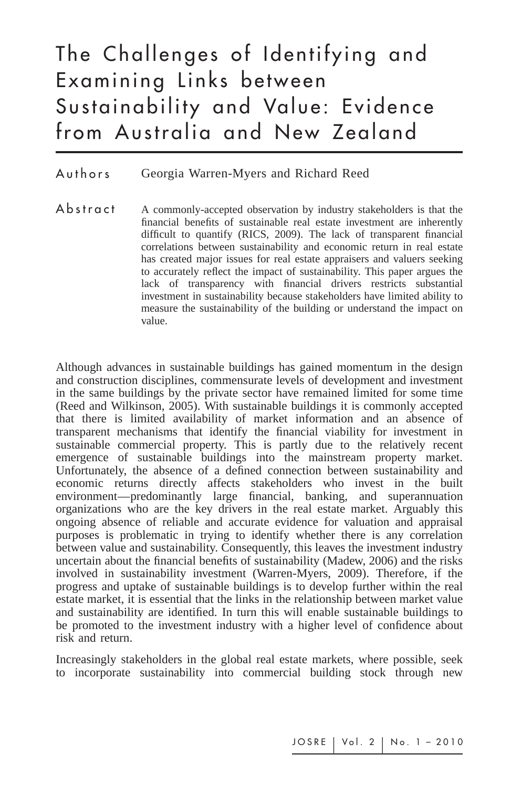# The Challenges of Identifying and Examining Links between Sustainability and Value: Evidence from Australia and New Zealand

Authors Georgia Warren-Myers and Richard Reed

Abstract A commonly-accepted observation by industry stakeholders is that the financial benefits of sustainable real estate investment are inherently difficult to quantify (RICS, 2009). The lack of transparent financial correlations between sustainability and economic return in real estate has created major issues for real estate appraisers and valuers seeking to accurately reflect the impact of sustainability. This paper argues the lack of transparency with financial drivers restricts substantial investment in sustainability because stakeholders have limited ability to measure the sustainability of the building or understand the impact on value.

Although advances in sustainable buildings has gained momentum in the design and construction disciplines, commensurate levels of development and investment in the same buildings by the private sector have remained limited for some time (Reed and Wilkinson, 2005). With sustainable buildings it is commonly accepted that there is limited availability of market information and an absence of transparent mechanisms that identify the financial viability for investment in sustainable commercial property. This is partly due to the relatively recent emergence of sustainable buildings into the mainstream property market. Unfortunately, the absence of a defined connection between sustainability and economic returns directly affects stakeholders who invest in the built environment—predominantly large financial, banking, and superannuation organizations who are the key drivers in the real estate market. Arguably this ongoing absence of reliable and accurate evidence for valuation and appraisal purposes is problematic in trying to identify whether there is any correlation between value and sustainability. Consequently, this leaves the investment industry uncertain about the financial benefits of sustainability (Madew, 2006) and the risks involved in sustainability investment (Warren-Myers, 2009). Therefore, if the progress and uptake of sustainable buildings is to develop further within the real estate market, it is essential that the links in the relationship between market value and sustainability are identified. In turn this will enable sustainable buildings to be promoted to the investment industry with a higher level of confidence about risk and return.

Increasingly stakeholders in the global real estate markets, where possible, seek to incorporate sustainability into commercial building stock through new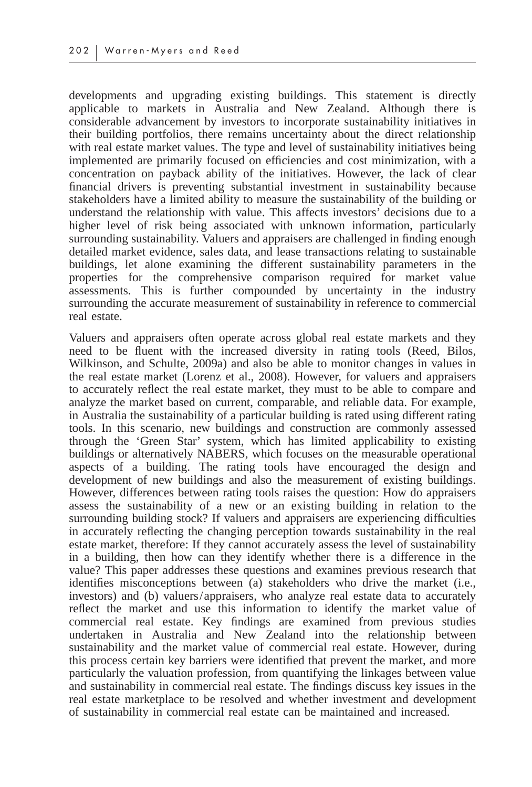developments and upgrading existing buildings. This statement is directly applicable to markets in Australia and New Zealand. Although there is considerable advancement by investors to incorporate sustainability initiatives in their building portfolios, there remains uncertainty about the direct relationship with real estate market values. The type and level of sustainability initiatives being implemented are primarily focused on efficiencies and cost minimization, with a concentration on payback ability of the initiatives. However, the lack of clear financial drivers is preventing substantial investment in sustainability because stakeholders have a limited ability to measure the sustainability of the building or understand the relationship with value. This affects investors' decisions due to a higher level of risk being associated with unknown information, particularly surrounding sustainability. Valuers and appraisers are challenged in finding enough detailed market evidence, sales data, and lease transactions relating to sustainable buildings, let alone examining the different sustainability parameters in the properties for the comprehensive comparison required for market value assessments. This is further compounded by uncertainty in the industry surrounding the accurate measurement of sustainability in reference to commercial real estate.

Valuers and appraisers often operate across global real estate markets and they need to be fluent with the increased diversity in rating tools (Reed, Bilos, Wilkinson, and Schulte, 2009a) and also be able to monitor changes in values in the real estate market (Lorenz et al., 2008). However, for valuers and appraisers to accurately reflect the real estate market, they must to be able to compare and analyze the market based on current, comparable, and reliable data. For example, in Australia the sustainability of a particular building is rated using different rating tools. In this scenario, new buildings and construction are commonly assessed through the 'Green Star' system, which has limited applicability to existing buildings or alternatively NABERS, which focuses on the measurable operational aspects of a building. The rating tools have encouraged the design and development of new buildings and also the measurement of existing buildings. However, differences between rating tools raises the question: How do appraisers assess the sustainability of a new or an existing building in relation to the surrounding building stock? If valuers and appraisers are experiencing difficulties in accurately reflecting the changing perception towards sustainability in the real estate market, therefore: If they cannot accurately assess the level of sustainability in a building, then how can they identify whether there is a difference in the value? This paper addresses these questions and examines previous research that identifies misconceptions between (a) stakeholders who drive the market (i.e., investors) and (b) valuers/appraisers, who analyze real estate data to accurately reflect the market and use this information to identify the market value of commercial real estate. Key findings are examined from previous studies undertaken in Australia and New Zealand into the relationship between sustainability and the market value of commercial real estate. However, during this process certain key barriers were identified that prevent the market, and more particularly the valuation profession, from quantifying the linkages between value and sustainability in commercial real estate. The findings discuss key issues in the real estate marketplace to be resolved and whether investment and development of sustainability in commercial real estate can be maintained and increased.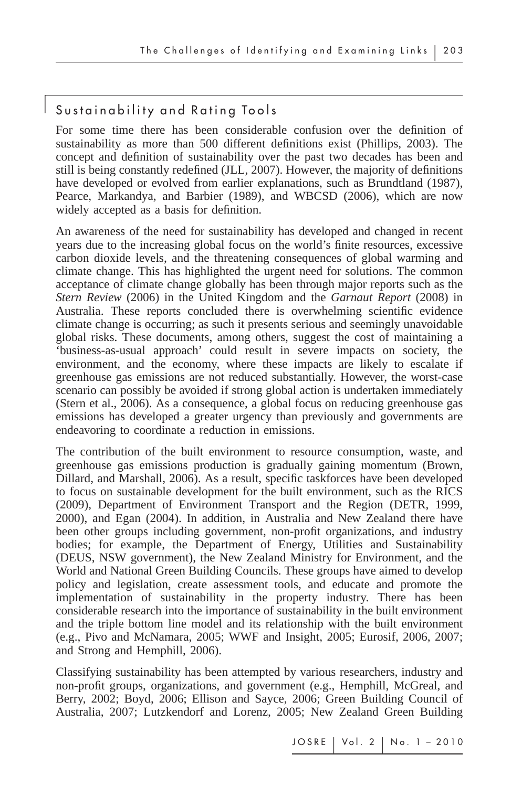#### Sustainability and Rating Tools

 $\overline{\phantom{a}}$ 

For some time there has been considerable confusion over the definition of sustainability as more than 500 different definitions exist (Phillips, 2003). The concept and definition of sustainability over the past two decades has been and still is being constantly redefined (JLL, 2007). However, the majority of definitions have developed or evolved from earlier explanations, such as Brundtland (1987), Pearce, Markandya, and Barbier (1989), and WBCSD (2006), which are now widely accepted as a basis for definition.

An awareness of the need for sustainability has developed and changed in recent years due to the increasing global focus on the world's finite resources, excessive carbon dioxide levels, and the threatening consequences of global warming and climate change. This has highlighted the urgent need for solutions. The common acceptance of climate change globally has been through major reports such as the *Stern Review* (2006) in the United Kingdom and the *Garnaut Report* (2008) in Australia. These reports concluded there is overwhelming scientific evidence climate change is occurring; as such it presents serious and seemingly unavoidable global risks. These documents, among others, suggest the cost of maintaining a 'business-as-usual approach' could result in severe impacts on society, the environment, and the economy, where these impacts are likely to escalate if greenhouse gas emissions are not reduced substantially. However, the worst-case scenario can possibly be avoided if strong global action is undertaken immediately (Stern et al., 2006). As a consequence, a global focus on reducing greenhouse gas emissions has developed a greater urgency than previously and governments are endeavoring to coordinate a reduction in emissions.

The contribution of the built environment to resource consumption, waste, and greenhouse gas emissions production is gradually gaining momentum (Brown, Dillard, and Marshall, 2006). As a result, specific taskforces have been developed to focus on sustainable development for the built environment, such as the RICS (2009), Department of Environment Transport and the Region (DETR, 1999, 2000), and Egan (2004). In addition, in Australia and New Zealand there have been other groups including government, non-profit organizations, and industry bodies; for example, the Department of Energy, Utilities and Sustainability (DEUS, NSW government), the New Zealand Ministry for Environment, and the World and National Green Building Councils. These groups have aimed to develop policy and legislation, create assessment tools, and educate and promote the implementation of sustainability in the property industry. There has been considerable research into the importance of sustainability in the built environment and the triple bottom line model and its relationship with the built environment (e.g., Pivo and McNamara, 2005; WWF and Insight, 2005; Eurosif, 2006, 2007; and Strong and Hemphill, 2006).

Classifying sustainability has been attempted by various researchers, industry and non-profit groups, organizations, and government (e.g., Hemphill, McGreal, and Berry, 2002; Boyd, 2006; Ellison and Sayce, 2006; Green Building Council of Australia, 2007; Lutzkendorf and Lorenz, 2005; New Zealand Green Building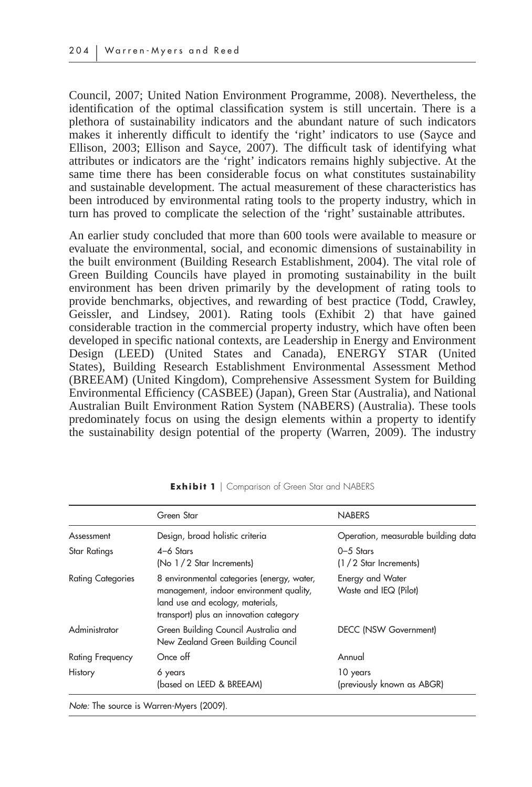Council, 2007; United Nation Environment Programme, 2008). Nevertheless, the identification of the optimal classification system is still uncertain. There is a plethora of sustainability indicators and the abundant nature of such indicators makes it inherently difficult to identify the 'right' indicators to use (Sayce and Ellison, 2003; Ellison and Sayce, 2007). The difficult task of identifying what attributes or indicators are the 'right' indicators remains highly subjective. At the same time there has been considerable focus on what constitutes sustainability and sustainable development. The actual measurement of these characteristics has been introduced by environmental rating tools to the property industry, which in turn has proved to complicate the selection of the 'right' sustainable attributes.

An earlier study concluded that more than 600 tools were available to measure or evaluate the environmental, social, and economic dimensions of sustainability in the built environment (Building Research Establishment, 2004). The vital role of Green Building Councils have played in promoting sustainability in the built environment has been driven primarily by the development of rating tools to provide benchmarks, objectives, and rewarding of best practice (Todd, Crawley, Geissler, and Lindsey, 2001). Rating tools (Exhibit 2) that have gained considerable traction in the commercial property industry, which have often been developed in specific national contexts, are Leadership in Energy and Environment Design (LEED) (United States and Canada), ENERGY STAR (United States), Building Research Establishment Environmental Assessment Method (BREEAM) (United Kingdom), Comprehensive Assessment System for Building Environmental Efficiency (CASBEE) (Japan), Green Star (Australia), and National Australian Built Environment Ration System (NABERS) (Australia). These tools predominately focus on using the design elements within a property to identify the sustainability design potential of the property (Warren, 2009). The industry

|                          | Green Star                                                                                                                                                          | <b>NABERS</b>                             |
|--------------------------|---------------------------------------------------------------------------------------------------------------------------------------------------------------------|-------------------------------------------|
| Assessment               | Design, broad holistic criteria                                                                                                                                     | Operation, measurable building data       |
| <b>Star Ratings</b>      | $4-6$ Stars<br>$(No 1/2$ Star Increments)                                                                                                                           | $0-5$ Stars<br>(1/2 Star Increments)      |
| <b>Rating Categories</b> | 8 environmental categories (energy, water,<br>management, indoor environment quality,<br>land use and ecology, materials,<br>transport) plus an innovation category | Energy and Water<br>Waste and IEQ (Pilot) |
| Administrator            | Green Building Council Australia and<br>New Zealand Green Building Council                                                                                          | <b>DECC (NSW Government)</b>              |
| Rating Frequency         | Once off                                                                                                                                                            | Annual                                    |
| <b>History</b>           | 6 years<br>(based on LEED & BREEAM)                                                                                                                                 | 10 years<br>(previously known as ABGR)    |

**Exhibit 1** | Comparison of Green Star and NABERS

*Note:* The source is Warren-Myers (2009).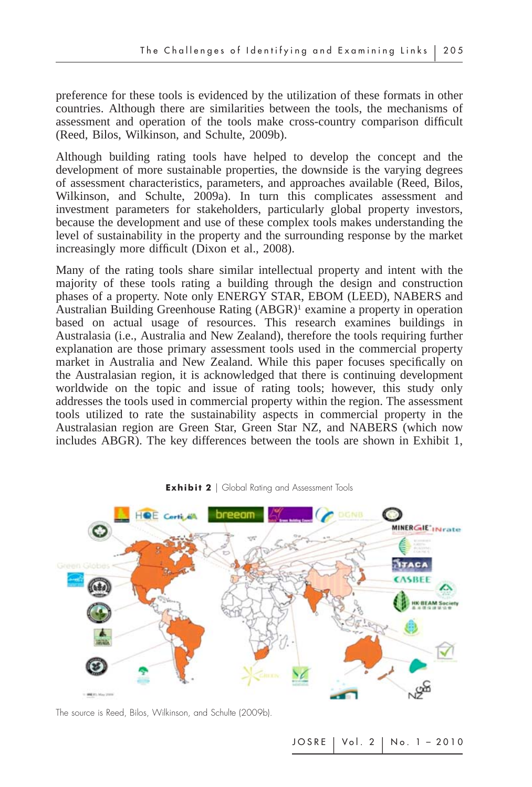preference for these tools is evidenced by the utilization of these formats in other countries. Although there are similarities between the tools, the mechanisms of assessment and operation of the tools make cross-country comparison difficult (Reed, Bilos, Wilkinson, and Schulte, 2009b).

Although building rating tools have helped to develop the concept and the development of more sustainable properties, the downside is the varying degrees of assessment characteristics, parameters, and approaches available (Reed, Bilos, Wilkinson, and Schulte, 2009a). In turn this complicates assessment and investment parameters for stakeholders, particularly global property investors, because the development and use of these complex tools makes understanding the level of sustainability in the property and the surrounding response by the market increasingly more difficult (Dixon et al., 2008).

Many of the rating tools share similar intellectual property and intent with the majority of these tools rating a building through the design and construction phases of a property. Note only ENERGY STAR, EBOM (LEED), NABERS and Australian Building Greenhouse Rating  $(ABGR)^1$  examine a property in operation based on actual usage of resources. This research examines buildings in Australasia (i.e., Australia and New Zealand), therefore the tools requiring further explanation are those primary assessment tools used in the commercial property market in Australia and New Zealand. While this paper focuses specifically on the Australasian region, it is acknowledged that there is continuing development worldwide on the topic and issue of rating tools; however, this study only addresses the tools used in commercial property within the region. The assessment tools utilized to rate the sustainability aspects in commercial property in the Australasian region are Green Star, Green Star NZ, and NABERS (which now includes ABGR). The key differences between the tools are shown in Exhibit 1,



**Exhibit 2** | Global Rating and Assessment Tools

The source is Reed, Bilos, Wilkinson, and Schulte (2009b).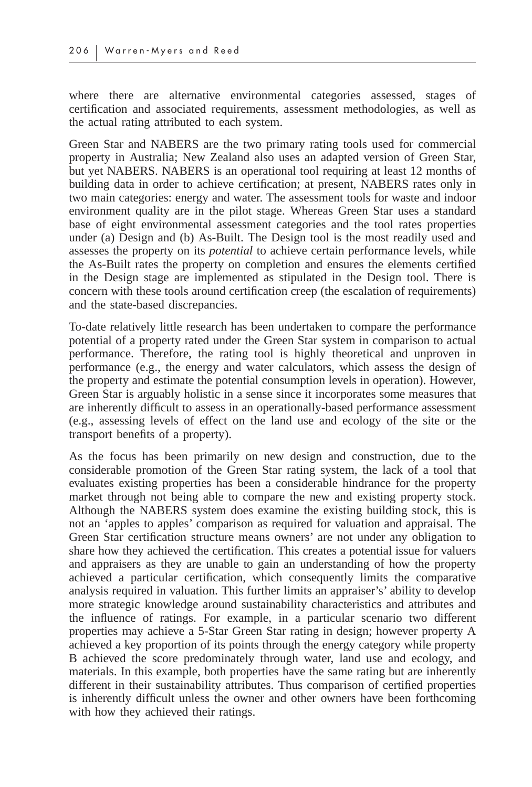where there are alternative environmental categories assessed, stages of certification and associated requirements, assessment methodologies, as well as the actual rating attributed to each system.

Green Star and NABERS are the two primary rating tools used for commercial property in Australia; New Zealand also uses an adapted version of Green Star, but yet NABERS. NABERS is an operational tool requiring at least 12 months of building data in order to achieve certification; at present, NABERS rates only in two main categories: energy and water. The assessment tools for waste and indoor environment quality are in the pilot stage. Whereas Green Star uses a standard base of eight environmental assessment categories and the tool rates properties under (a) Design and (b) As-Built. The Design tool is the most readily used and assesses the property on its *potential* to achieve certain performance levels, while the As-Built rates the property on completion and ensures the elements certified in the Design stage are implemented as stipulated in the Design tool. There is concern with these tools around certification creep (the escalation of requirements) and the state-based discrepancies.

To-date relatively little research has been undertaken to compare the performance potential of a property rated under the Green Star system in comparison to actual performance. Therefore, the rating tool is highly theoretical and unproven in performance (e.g., the energy and water calculators, which assess the design of the property and estimate the potential consumption levels in operation). However, Green Star is arguably holistic in a sense since it incorporates some measures that are inherently difficult to assess in an operationally-based performance assessment (e.g., assessing levels of effect on the land use and ecology of the site or the transport benefits of a property).

As the focus has been primarily on new design and construction, due to the considerable promotion of the Green Star rating system, the lack of a tool that evaluates existing properties has been a considerable hindrance for the property market through not being able to compare the new and existing property stock. Although the NABERS system does examine the existing building stock, this is not an 'apples to apples' comparison as required for valuation and appraisal. The Green Star certification structure means owners' are not under any obligation to share how they achieved the certification. This creates a potential issue for valuers and appraisers as they are unable to gain an understanding of how the property achieved a particular certification, which consequently limits the comparative analysis required in valuation. This further limits an appraiser's' ability to develop more strategic knowledge around sustainability characteristics and attributes and the influence of ratings. For example, in a particular scenario two different properties may achieve a 5-Star Green Star rating in design; however property A achieved a key proportion of its points through the energy category while property B achieved the score predominately through water, land use and ecology, and materials. In this example, both properties have the same rating but are inherently different in their sustainability attributes. Thus comparison of certified properties is inherently difficult unless the owner and other owners have been forthcoming with how they achieved their ratings.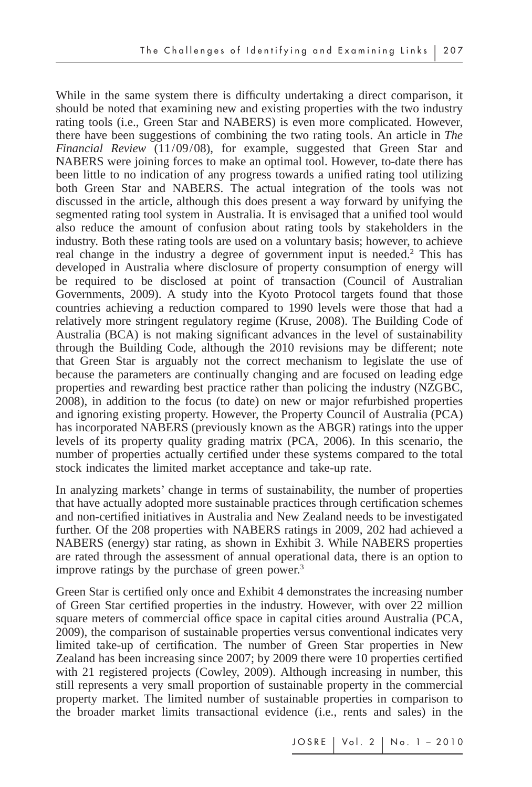While in the same system there is difficulty undertaking a direct comparison, it should be noted that examining new and existing properties with the two industry rating tools (i.e., Green Star and NABERS) is even more complicated. However, there have been suggestions of combining the two rating tools. An article in *The Financial Review* (11/09/08), for example, suggested that Green Star and NABERS were joining forces to make an optimal tool. However, to-date there has been little to no indication of any progress towards a unified rating tool utilizing both Green Star and NABERS. The actual integration of the tools was not discussed in the article, although this does present a way forward by unifying the segmented rating tool system in Australia. It is envisaged that a unified tool would also reduce the amount of confusion about rating tools by stakeholders in the industry. Both these rating tools are used on a voluntary basis; however, to achieve real change in the industry a degree of government input is needed.<sup>2</sup> This has developed in Australia where disclosure of property consumption of energy will be required to be disclosed at point of transaction (Council of Australian Governments, 2009). A study into the Kyoto Protocol targets found that those countries achieving a reduction compared to 1990 levels were those that had a relatively more stringent regulatory regime (Kruse, 2008). The Building Code of Australia (BCA) is not making significant advances in the level of sustainability through the Building Code, although the 2010 revisions may be different; note that Green Star is arguably not the correct mechanism to legislate the use of because the parameters are continually changing and are focused on leading edge properties and rewarding best practice rather than policing the industry (NZGBC, 2008), in addition to the focus (to date) on new or major refurbished properties and ignoring existing property. However, the Property Council of Australia (PCA) has incorporated NABERS (previously known as the ABGR) ratings into the upper levels of its property quality grading matrix (PCA, 2006). In this scenario, the number of properties actually certified under these systems compared to the total stock indicates the limited market acceptance and take-up rate.

In analyzing markets' change in terms of sustainability, the number of properties that have actually adopted more sustainable practices through certification schemes and non-certified initiatives in Australia and New Zealand needs to be investigated further. Of the 208 properties with NABERS ratings in 2009, 202 had achieved a NABERS (energy) star rating, as shown in Exhibit 3. While NABERS properties are rated through the assessment of annual operational data, there is an option to improve ratings by the purchase of green power.<sup>3</sup>

Green Star is certified only once and Exhibit 4 demonstrates the increasing number of Green Star certified properties in the industry. However, with over 22 million square meters of commercial office space in capital cities around Australia (PCA, 2009), the comparison of sustainable properties versus conventional indicates very limited take-up of certification. The number of Green Star properties in New Zealand has been increasing since 2007; by 2009 there were 10 properties certified with 21 registered projects (Cowley, 2009). Although increasing in number, this still represents a very small proportion of sustainable property in the commercial property market. The limited number of sustainable properties in comparison to the broader market limits transactional evidence (i.e., rents and sales) in the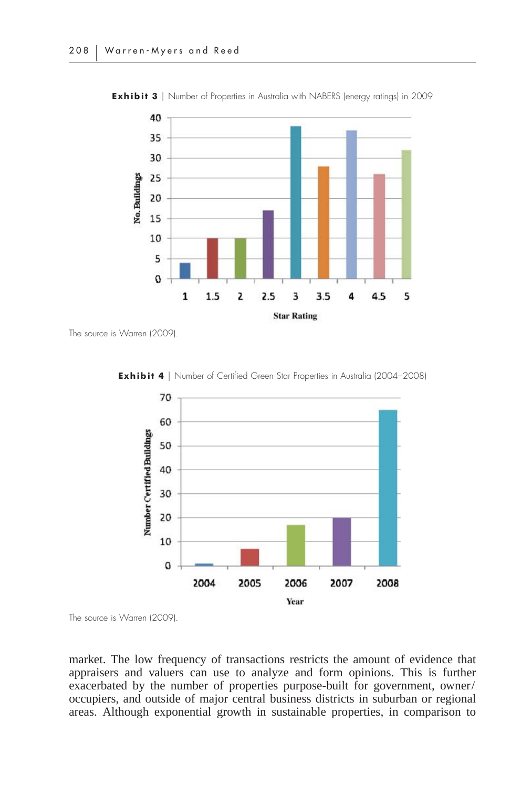

**Exhibit 3** | Number of Properties in Australia with NABERS (energy ratings) in 2009



**Exhibit 4** | Number of Certified Green Star Properties in Australia (2004–2008)

The source is Warren (2009).

market. The low frequency of transactions restricts the amount of evidence that appraisers and valuers can use to analyze and form opinions. This is further exacerbated by the number of properties purpose-built for government, owner/ occupiers, and outside of major central business districts in suburban or regional areas. Although exponential growth in sustainable properties, in comparison to

The source is Warren (2009).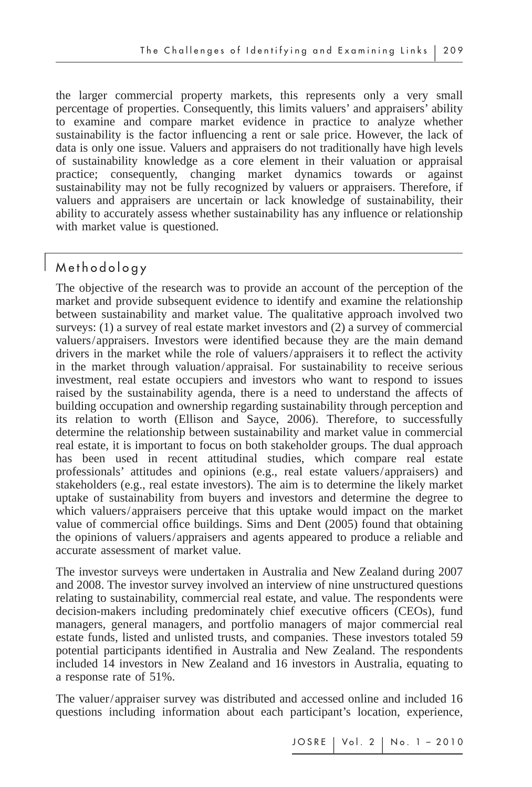the larger commercial property markets, this represents only a very small percentage of properties. Consequently, this limits valuers' and appraisers' ability to examine and compare market evidence in practice to analyze whether sustainability is the factor influencing a rent or sale price. However, the lack of data is only one issue. Valuers and appraisers do not traditionally have high levels of sustainability knowledge as a core element in their valuation or appraisal practice; consequently, changing market dynamics towards or against sustainability may not be fully recognized by valuers or appraisers. Therefore, if valuers and appraisers are uncertain or lack knowledge of sustainability, their ability to accurately assess whether sustainability has any influence or relationship with market value is questioned.

# Methodology

 $\overline{\phantom{a}}$ 

The objective of the research was to provide an account of the perception of the market and provide subsequent evidence to identify and examine the relationship between sustainability and market value. The qualitative approach involved two surveys: (1) a survey of real estate market investors and (2) a survey of commercial valuers/appraisers. Investors were identified because they are the main demand drivers in the market while the role of valuers/appraisers it to reflect the activity in the market through valuation/appraisal. For sustainability to receive serious investment, real estate occupiers and investors who want to respond to issues raised by the sustainability agenda, there is a need to understand the affects of building occupation and ownership regarding sustainability through perception and its relation to worth (Ellison and Sayce, 2006). Therefore, to successfully determine the relationship between sustainability and market value in commercial real estate, it is important to focus on both stakeholder groups. The dual approach has been used in recent attitudinal studies, which compare real estate professionals' attitudes and opinions (e.g., real estate valuers/appraisers) and stakeholders (e.g., real estate investors). The aim is to determine the likely market uptake of sustainability from buyers and investors and determine the degree to which valuers/appraisers perceive that this uptake would impact on the market value of commercial office buildings. Sims and Dent (2005) found that obtaining the opinions of valuers/appraisers and agents appeared to produce a reliable and accurate assessment of market value.

The investor surveys were undertaken in Australia and New Zealand during 2007 and 2008. The investor survey involved an interview of nine unstructured questions relating to sustainability, commercial real estate, and value. The respondents were decision-makers including predominately chief executive officers (CEOs), fund managers, general managers, and portfolio managers of major commercial real estate funds, listed and unlisted trusts, and companies. These investors totaled 59 potential participants identified in Australia and New Zealand. The respondents included 14 investors in New Zealand and 16 investors in Australia, equating to a response rate of 51%.

The valuer/appraiser survey was distributed and accessed online and included 16 questions including information about each participant's location, experience,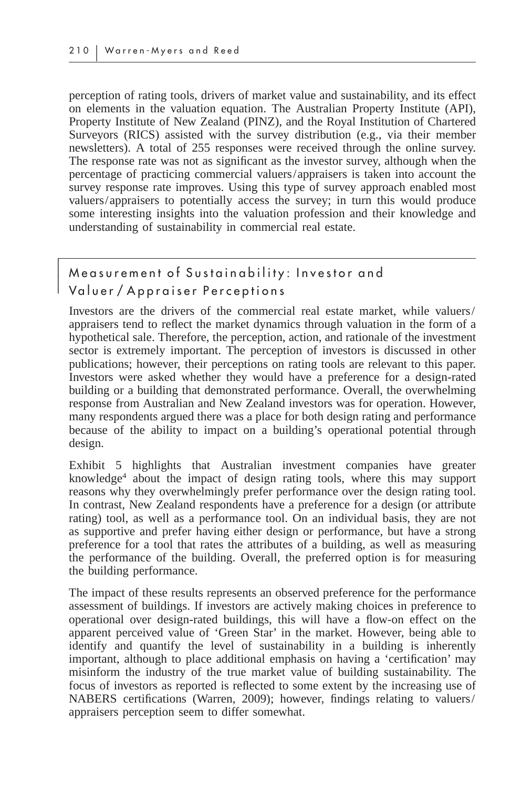$\overline{\phantom{a}}$ 

perception of rating tools, drivers of market value and sustainability, and its effect on elements in the valuation equation. The Australian Property Institute (API), Property Institute of New Zealand (PINZ), and the Royal Institution of Chartered Surveyors (RICS) assisted with the survey distribution (e.g., via their member newsletters). A total of 255 responses were received through the online survey. The response rate was not as significant as the investor survey, although when the percentage of practicing commercial valuers/appraisers is taken into account the survey response rate improves. Using this type of survey approach enabled most valuers/appraisers to potentially access the survey; in turn this would produce some interesting insights into the valuation profession and their knowledge and understanding of sustainability in commercial real estate.

#### Measurement of Sustainability: Investor and -Valuer / Appraiser Perceptions

Investors are the drivers of the commercial real estate market, while valuers/ appraisers tend to reflect the market dynamics through valuation in the form of a hypothetical sale. Therefore, the perception, action, and rationale of the investment sector is extremely important. The perception of investors is discussed in other publications; however, their perceptions on rating tools are relevant to this paper. Investors were asked whether they would have a preference for a design-rated building or a building that demonstrated performance. Overall, the overwhelming response from Australian and New Zealand investors was for operation. However, many respondents argued there was a place for both design rating and performance because of the ability to impact on a building's operational potential through design.

Exhibit 5 highlights that Australian investment companies have greater knowledge4 about the impact of design rating tools, where this may support reasons why they overwhelmingly prefer performance over the design rating tool. In contrast, New Zealand respondents have a preference for a design (or attribute rating) tool, as well as a performance tool. On an individual basis, they are not as supportive and prefer having either design or performance, but have a strong preference for a tool that rates the attributes of a building, as well as measuring the performance of the building. Overall, the preferred option is for measuring the building performance.

The impact of these results represents an observed preference for the performance assessment of buildings. If investors are actively making choices in preference to operational over design-rated buildings, this will have a flow-on effect on the apparent perceived value of 'Green Star' in the market. However, being able to identify and quantify the level of sustainability in a building is inherently important, although to place additional emphasis on having a 'certification' may misinform the industry of the true market value of building sustainability. The focus of investors as reported is reflected to some extent by the increasing use of NABERS certifications (Warren, 2009); however, findings relating to valuers/ appraisers perception seem to differ somewhat.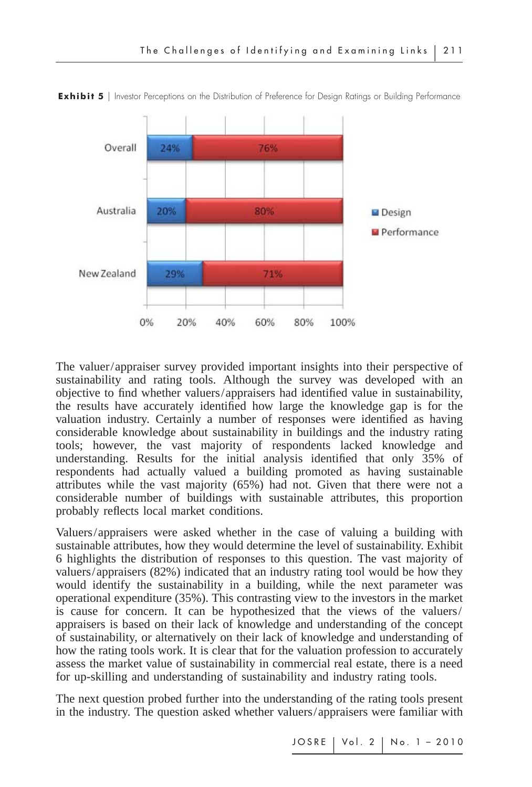

**Exhibit 5** | Investor Perceptions on the Distribution of Preference for Design Ratings or Building Performance

The valuer/appraiser survey provided important insights into their perspective of sustainability and rating tools. Although the survey was developed with an objective to find whether valuers/appraisers had identified value in sustainability, the results have accurately identified how large the knowledge gap is for the valuation industry. Certainly a number of responses were identified as having considerable knowledge about sustainability in buildings and the industry rating tools; however, the vast majority of respondents lacked knowledge and understanding. Results for the initial analysis identified that only 35% of respondents had actually valued a building promoted as having sustainable attributes while the vast majority (65%) had not. Given that there were not a considerable number of buildings with sustainable attributes, this proportion probably reflects local market conditions.

Valuers/appraisers were asked whether in the case of valuing a building with sustainable attributes, how they would determine the level of sustainability. Exhibit 6 highlights the distribution of responses to this question. The vast majority of valuers/appraisers (82%) indicated that an industry rating tool would be how they would identify the sustainability in a building, while the next parameter was operational expenditure (35%). This contrasting view to the investors in the market is cause for concern. It can be hypothesized that the views of the valuers/ appraisers is based on their lack of knowledge and understanding of the concept of sustainability, or alternatively on their lack of knowledge and understanding of how the rating tools work. It is clear that for the valuation profession to accurately assess the market value of sustainability in commercial real estate, there is a need for up-skilling and understanding of sustainability and industry rating tools.

The next question probed further into the understanding of the rating tools present in the industry. The question asked whether valuers/appraisers were familiar with

JOSRE | Vol. 2 | No. 1 – 2010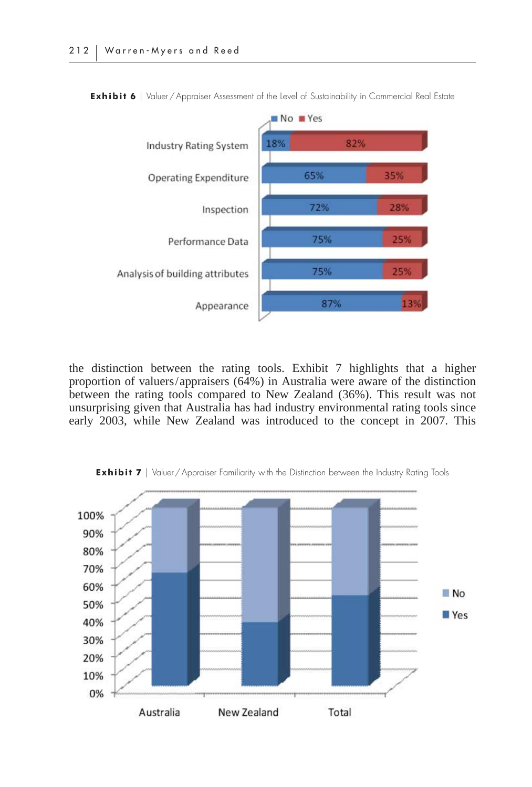

**Exhibit 6** | Valuer/Appraiser Assessment of the Level of Sustainability in Commercial Real Estate

the distinction between the rating tools. Exhibit 7 highlights that a higher proportion of valuers/appraisers (64%) in Australia were aware of the distinction between the rating tools compared to New Zealand (36%). This result was not unsurprising given that Australia has had industry environmental rating tools since early 2003, while New Zealand was introduced to the concept in 2007. This



**Exhibit 7** | Valuer / Appraiser Familiarity with the Distinction between the Industry Rating Tools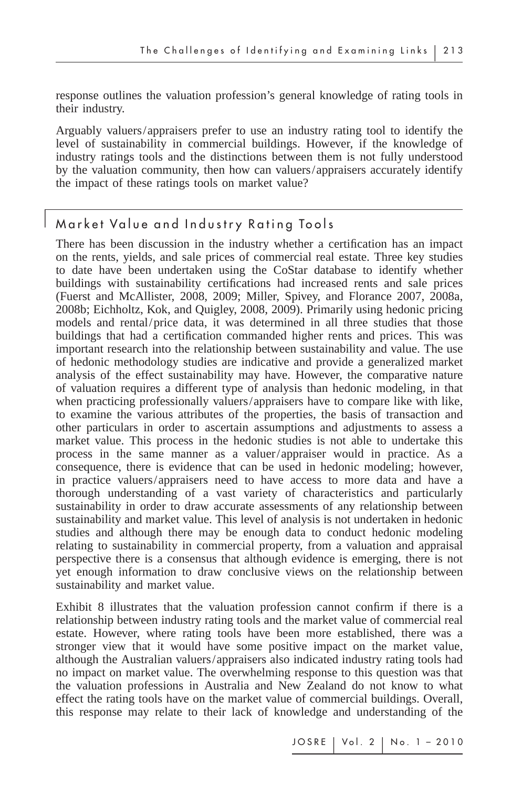response outlines the valuation profession's general knowledge of rating tools in their industry.

Arguably valuers/appraisers prefer to use an industry rating tool to identify the level of sustainability in commercial buildings. However, if the knowledge of industry ratings tools and the distinctions between them is not fully understood by the valuation community, then how can valuers/appraisers accurately identify the impact of these ratings tools on market value?

#### Market Value and Industry Rating Tools

 $\overline{\phantom{a}}$ 

There has been discussion in the industry whether a certification has an impact on the rents, yields, and sale prices of commercial real estate. Three key studies to date have been undertaken using the CoStar database to identify whether buildings with sustainability certifications had increased rents and sale prices (Fuerst and McAllister, 2008, 2009; Miller, Spivey, and Florance 2007, 2008a, 2008b; Eichholtz, Kok, and Quigley, 2008, 2009). Primarily using hedonic pricing models and rental/price data, it was determined in all three studies that those buildings that had a certification commanded higher rents and prices. This was important research into the relationship between sustainability and value. The use of hedonic methodology studies are indicative and provide a generalized market analysis of the effect sustainability may have. However, the comparative nature of valuation requires a different type of analysis than hedonic modeling, in that when practicing professionally valuers/appraisers have to compare like with like, to examine the various attributes of the properties, the basis of transaction and other particulars in order to ascertain assumptions and adjustments to assess a market value. This process in the hedonic studies is not able to undertake this process in the same manner as a valuer/appraiser would in practice. As a consequence, there is evidence that can be used in hedonic modeling; however, in practice valuers/appraisers need to have access to more data and have a thorough understanding of a vast variety of characteristics and particularly sustainability in order to draw accurate assessments of any relationship between sustainability and market value. This level of analysis is not undertaken in hedonic studies and although there may be enough data to conduct hedonic modeling relating to sustainability in commercial property, from a valuation and appraisal perspective there is a consensus that although evidence is emerging, there is not yet enough information to draw conclusive views on the relationship between sustainability and market value.

Exhibit 8 illustrates that the valuation profession cannot confirm if there is a relationship between industry rating tools and the market value of commercial real estate. However, where rating tools have been more established, there was a stronger view that it would have some positive impact on the market value, although the Australian valuers/appraisers also indicated industry rating tools had no impact on market value. The overwhelming response to this question was that the valuation professions in Australia and New Zealand do not know to what effect the rating tools have on the market value of commercial buildings. Overall, this response may relate to their lack of knowledge and understanding of the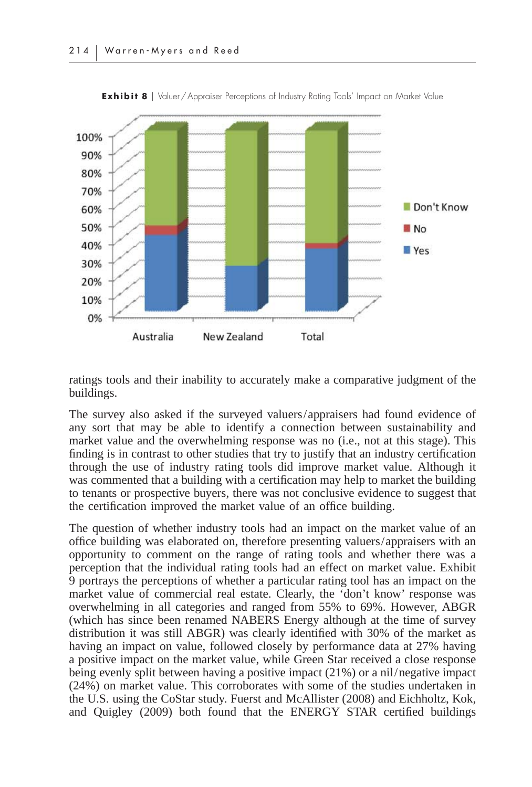

**Exhibit 8** | Valuer/Appraiser Perceptions of Industry Rating Tools' Impact on Market Value

ratings tools and their inability to accurately make a comparative judgment of the buildings.

The survey also asked if the surveyed valuers/appraisers had found evidence of any sort that may be able to identify a connection between sustainability and market value and the overwhelming response was no (i.e., not at this stage). This finding is in contrast to other studies that try to justify that an industry certification through the use of industry rating tools did improve market value. Although it was commented that a building with a certification may help to market the building to tenants or prospective buyers, there was not conclusive evidence to suggest that the certification improved the market value of an office building.

The question of whether industry tools had an impact on the market value of an office building was elaborated on, therefore presenting valuers/appraisers with an opportunity to comment on the range of rating tools and whether there was a perception that the individual rating tools had an effect on market value. Exhibit 9 portrays the perceptions of whether a particular rating tool has an impact on the market value of commercial real estate. Clearly, the 'don't know' response was overwhelming in all categories and ranged from 55% to 69%. However, ABGR (which has since been renamed NABERS Energy although at the time of survey distribution it was still ABGR) was clearly identified with 30% of the market as having an impact on value, followed closely by performance data at 27% having a positive impact on the market value, while Green Star received a close response being evenly split between having a positive impact (21%) or a nil/negative impact (24%) on market value. This corroborates with some of the studies undertaken in the U.S. using the CoStar study. Fuerst and McAllister (2008) and Eichholtz, Kok, and Quigley (2009) both found that the ENERGY STAR certified buildings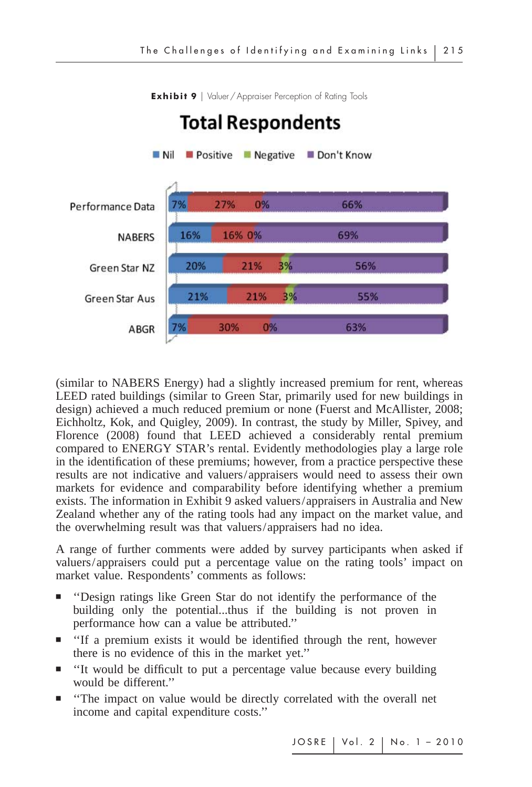

**Exhibit 9** | Valuer / Appraiser Perception of Rating Tools

(similar to NABERS Energy) had a slightly increased premium for rent, whereas LEED rated buildings (similar to Green Star, primarily used for new buildings in design) achieved a much reduced premium or none (Fuerst and McAllister, 2008; Eichholtz, Kok, and Quigley, 2009). In contrast, the study by Miller, Spivey, and Florence (2008) found that LEED achieved a considerably rental premium compared to ENERGY STAR's rental. Evidently methodologies play a large role in the identification of these premiums; however, from a practice perspective these results are not indicative and valuers/appraisers would need to assess their own markets for evidence and comparability before identifying whether a premium exists. The information in Exhibit 9 asked valuers/appraisers in Australia and New Zealand whether any of the rating tools had any impact on the market value, and the overwhelming result was that valuers/appraisers had no idea.

A range of further comments were added by survey participants when asked if valuers/appraisers could put a percentage value on the rating tools' impact on market value. Respondents' comments as follows:

- - ''Design ratings like Green Star do not identify the performance of the building only the potential...thus if the building is not proven in performance how can a value be attributed.''
- **If** a premium exists it would be identified through the rent, however there is no evidence of this in the market yet.''
- **If would be difficult to put a percentage value because every building** would be different.''
- **The impact on value would be directly correlated with the overall net** income and capital expenditure costs.''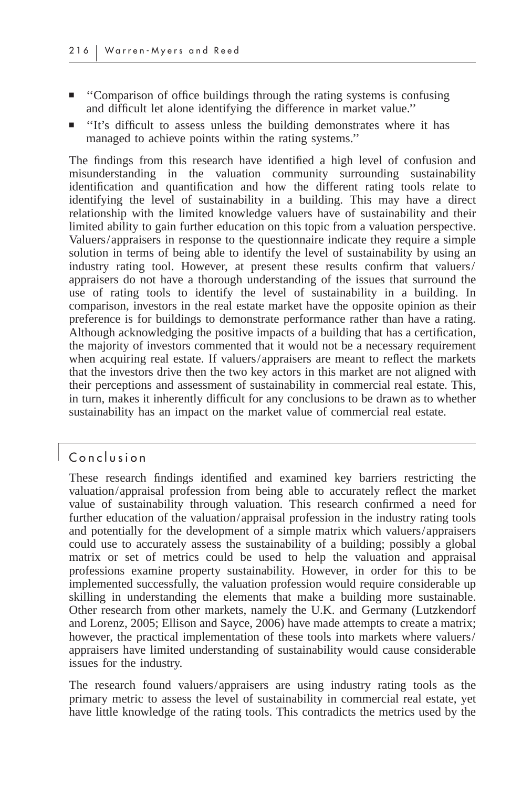- - ''Comparison of office buildings through the rating systems is confusing and difficult let alone identifying the difference in market value.''
- - ''It's difficult to assess unless the building demonstrates where it has managed to achieve points within the rating systems.''

The findings from this research have identified a high level of confusion and misunderstanding in the valuation community surrounding sustainability identification and quantification and how the different rating tools relate to identifying the level of sustainability in a building. This may have a direct relationship with the limited knowledge valuers have of sustainability and their limited ability to gain further education on this topic from a valuation perspective. Valuers/appraisers in response to the questionnaire indicate they require a simple solution in terms of being able to identify the level of sustainability by using an industry rating tool. However, at present these results confirm that valuers/ appraisers do not have a thorough understanding of the issues that surround the use of rating tools to identify the level of sustainability in a building. In comparison, investors in the real estate market have the opposite opinion as their preference is for buildings to demonstrate performance rather than have a rating. Although acknowledging the positive impacts of a building that has a certification, the majority of investors commented that it would not be a necessary requirement when acquiring real estate. If valuers/appraisers are meant to reflect the markets that the investors drive then the two key actors in this market are not aligned with their perceptions and assessment of sustainability in commercial real estate. This, in turn, makes it inherently difficult for any conclusions to be drawn as to whether sustainability has an impact on the market value of commercial real estate.

#### Conclusion

 $\overline{\phantom{a}}$ 

These research findings identified and examined key barriers restricting the valuation/appraisal profession from being able to accurately reflect the market value of sustainability through valuation. This research confirmed a need for further education of the valuation/appraisal profession in the industry rating tools and potentially for the development of a simple matrix which valuers/appraisers could use to accurately assess the sustainability of a building; possibly a global matrix or set of metrics could be used to help the valuation and appraisal professions examine property sustainability. However, in order for this to be implemented successfully, the valuation profession would require considerable up skilling in understanding the elements that make a building more sustainable. Other research from other markets, namely the U.K. and Germany (Lutzkendorf and Lorenz, 2005; Ellison and Sayce, 2006) have made attempts to create a matrix; however, the practical implementation of these tools into markets where valuers/ appraisers have limited understanding of sustainability would cause considerable issues for the industry.

The research found valuers/appraisers are using industry rating tools as the primary metric to assess the level of sustainability in commercial real estate, yet have little knowledge of the rating tools. This contradicts the metrics used by the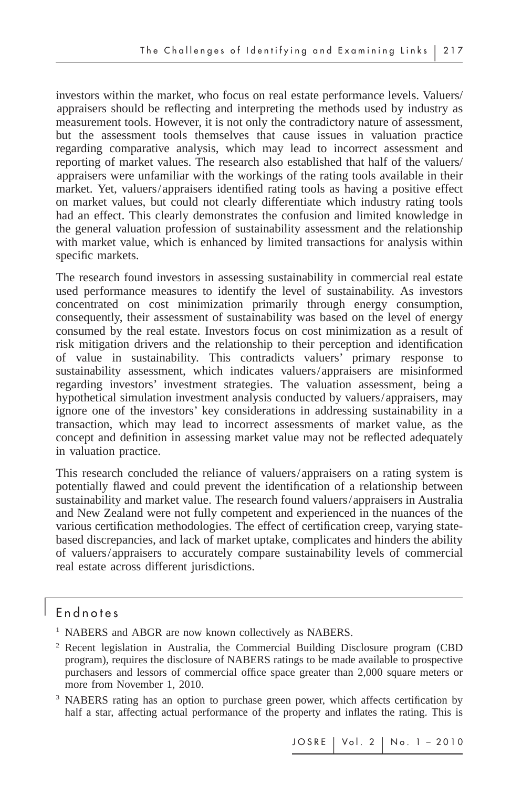investors within the market, who focus on real estate performance levels. Valuers/ appraisers should be reflecting and interpreting the methods used by industry as measurement tools. However, it is not only the contradictory nature of assessment, but the assessment tools themselves that cause issues in valuation practice regarding comparative analysis, which may lead to incorrect assessment and reporting of market values. The research also established that half of the valuers/ appraisers were unfamiliar with the workings of the rating tools available in their market. Yet, valuers/appraisers identified rating tools as having a positive effect on market values, but could not clearly differentiate which industry rating tools had an effect. This clearly demonstrates the confusion and limited knowledge in the general valuation profession of sustainability assessment and the relationship with market value, which is enhanced by limited transactions for analysis within specific markets.

The research found investors in assessing sustainability in commercial real estate used performance measures to identify the level of sustainability. As investors concentrated on cost minimization primarily through energy consumption, consequently, their assessment of sustainability was based on the level of energy consumed by the real estate. Investors focus on cost minimization as a result of risk mitigation drivers and the relationship to their perception and identification of value in sustainability. This contradicts valuers' primary response to sustainability assessment, which indicates valuers/appraisers are misinformed regarding investors' investment strategies. The valuation assessment, being a hypothetical simulation investment analysis conducted by valuers/appraisers, may ignore one of the investors' key considerations in addressing sustainability in a transaction, which may lead to incorrect assessments of market value, as the concept and definition in assessing market value may not be reflected adequately in valuation practice.

This research concluded the reliance of valuers/appraisers on a rating system is potentially flawed and could prevent the identification of a relationship between sustainability and market value. The research found valuers/appraisers in Australia and New Zealand were not fully competent and experienced in the nuances of the various certification methodologies. The effect of certification creep, varying statebased discrepancies, and lack of market uptake, complicates and hinders the ability of valuers/appraisers to accurately compare sustainability levels of commercial real estate across different jurisdictions.

#### Endnotes

 $\overline{\phantom{a}}$ 

- <sup>1</sup> NABERS and ABGR are now known collectively as NABERS.
- <sup>2</sup> Recent legislation in Australia, the Commercial Building Disclosure program (CBD program), requires the disclosure of NABERS ratings to be made available to prospective purchasers and lessors of commercial office space greater than 2,000 square meters or more from November 1, 2010.
- <sup>3</sup> NABERS rating has an option to purchase green power, which affects certification by half a star, affecting actual performance of the property and inflates the rating. This is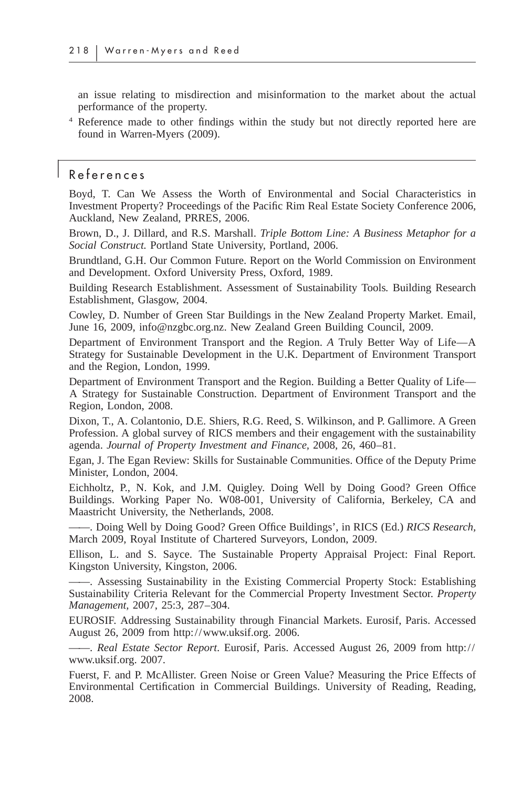an issue relating to misdirection and misinformation to the market about the actual performance of the property.

<sup>4</sup> Reference made to other findings within the study but not directly reported here are found in Warren-Myers (2009).

#### References

 $\overline{\phantom{a}}$ 

Boyd, T. Can We Assess the Worth of Environmental and Social Characteristics in Investment Property? Proceedings of the Pacific Rim Real Estate Society Conference 2006, Auckland, New Zealand, PRRES, 2006.

Brown, D., J. Dillard, and R.S. Marshall. *Triple Bottom Line: A Business Metaphor for a Social Construct.* Portland State University, Portland, 2006.

Brundtland, G.H. Our Common Future. Report on the World Commission on Environment and Development. Oxford University Press, Oxford, 1989.

Building Research Establishment. Assessment of Sustainability Tools*.* Building Research Establishment, Glasgow, 2004.

Cowley, D. Number of Green Star Buildings in the New Zealand Property Market. Email, June 16, 2009, info@nzgbc.org.nz. New Zealand Green Building Council, 2009.

Department of Environment Transport and the Region. *A* Truly Better Way of Life—A Strategy for Sustainable Development in the U.K. Department of Environment Transport and the Region, London, 1999.

Department of Environment Transport and the Region. Building a Better Quality of Life— A Strategy for Sustainable Construction. Department of Environment Transport and the Region, London, 2008.

Dixon, T., A. Colantonio, D.E. Shiers, R.G. Reed, S. Wilkinson, and P. Gallimore. A Green Profession. A global survey of RICS members and their engagement with the sustainability agenda. *Journal of Property Investment and Finance,* 2008, 26, 460–81.

Egan, J. The Egan Review: Skills for Sustainable Communities. Office of the Deputy Prime Minister, London, 2004.

Eichholtz, P., N. Kok, and J.M. Quigley. Doing Well by Doing Good? Green Office Buildings. Working Paper No. W08-001*,* University of California, Berkeley, CA and Maastricht University, the Netherlands, 2008.

——. Doing Well by Doing Good? Green Office Buildings', in RICS (Ed.) *RICS Research,* March 2009, Royal Institute of Chartered Surveyors, London, 2009.

Ellison, L. and S. Sayce. The Sustainable Property Appraisal Project: Final Report*.* Kingston University, Kingston, 2006.

——. Assessing Sustainability in the Existing Commercial Property Stock: Establishing Sustainability Criteria Relevant for the Commercial Property Investment Sector. *Property Management,* 2007, 25:3, 287–304.

EUROSIF. Addressing Sustainability through Financial Markets. Eurosif, Paris. Accessed August 26, 2009 from [http://www.uksif.org.](http://www.uksif.org) 2006.

——. *Real Estate Sector Report*. Eurosif, Paris. Accessed August 26, 2009 from [http://](http://www.uksif.org) [www.uksif.org.](http://www.uksif.org) 2007.

Fuerst, F. and P. McAllister. Green Noise or Green Value? Measuring the Price Effects of Environmental Certification in Commercial Buildings. University of Reading, Reading, 2008.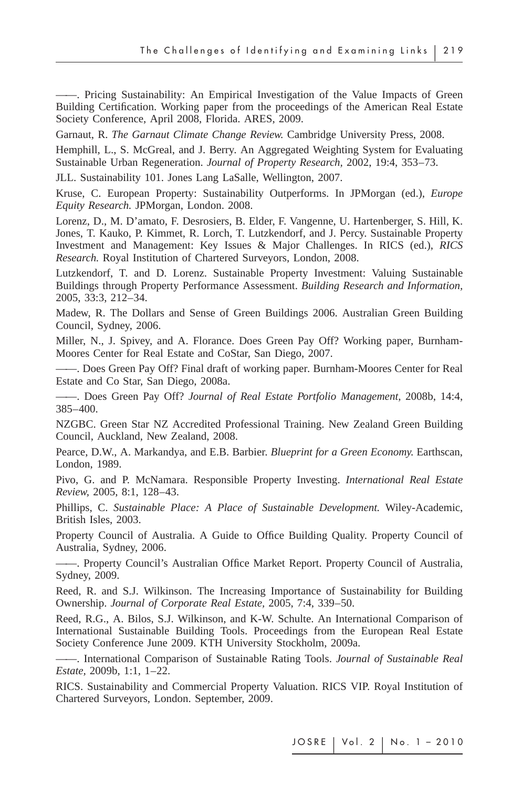——. Pricing Sustainability: An Empirical Investigation of the Value Impacts of Green Building Certification. Working paper from the proceedings of the American Real Estate Society Conference, April 2008, Florida. ARES, 2009.

Garnaut, R. *The Garnaut Climate Change Review.* Cambridge University Press, 2008.

Hemphill, L., S. McGreal, and J. Berry. An Aggregated Weighting System for Evaluating Sustainable Urban Regeneration. *Journal of Property Research,* 2002, 19:4, 353–73.

JLL. Sustainability 101. Jones Lang LaSalle, Wellington, 2007.

Kruse, C. European Property: Sustainability Outperforms. In JPMorgan (ed.), *Europe Equity Research.* JPMorgan, London. 2008.

Lorenz, D., M. D'amato, F. Desrosiers, B. Elder, F. Vangenne, U. Hartenberger, S. Hill, K. Jones, T. Kauko, P. Kimmet, R. Lorch, T. Lutzkendorf, and J. Percy. Sustainable Property Investment and Management: Key Issues & Major Challenges. In RICS (ed.), *RICS Research.* Royal Institution of Chartered Surveyors, London, 2008.

Lutzkendorf, T. and D. Lorenz. Sustainable Property Investment: Valuing Sustainable Buildings through Property Performance Assessment. *Building Research and Information,* 2005, 33:3, 212–34.

Madew, R. The Dollars and Sense of Green Buildings 2006. Australian Green Building Council, Sydney, 2006.

Miller, N., J. Spivey, and A. Florance. Does Green Pay Off? Working paper*,* Burnham-Moores Center for Real Estate and CoStar, San Diego, 2007.

——. Does Green Pay Off? Final draft of working paper*.* Burnham-Moores Center for Real Estate and Co Star, San Diego, 2008a.

——. Does Green Pay Off? *Journal of Real Estate Portfolio Management,* 2008b, 14:4, 385–400.

NZGBC. Green Star NZ Accredited Professional Training. New Zealand Green Building Council, Auckland, New Zealand, 2008.

Pearce, D.W., A. Markandya, and E.B. Barbier. *Blueprint for a Green Economy.* Earthscan, London, 1989.

Pivo, G. and P. McNamara. Responsible Property Investing. *International Real Estate Review,* 2005, 8:1, 128–43.

Phillips, C. *Sustainable Place: A Place of Sustainable Development.* Wiley-Academic, British Isles, 2003.

Property Council of Australia. A Guide to Office Building Quality. Property Council of Australia, Sydney, 2006.

——. Property Council's Australian Office Market Report. Property Council of Australia, Sydney, 2009.

Reed, R. and S.J. Wilkinson. The Increasing Importance of Sustainability for Building Ownership. *Journal of Corporate Real Estate,* 2005, 7:4, 339–50.

Reed, R.G., A. Bilos, S.J. Wilkinson, and K-W. Schulte. An International Comparison of International Sustainable Building Tools. Proceedings from the European Real Estate Society Conference June 2009. KTH University Stockholm, 2009a.

——. International Comparison of Sustainable Rating Tools. *Journal of Sustainable Real Estate,* 2009b, 1:1, 1–22.

RICS. Sustainability and Commercial Property Valuation. RICS VIP. Royal Institution of Chartered Surveyors, London. September, 2009.